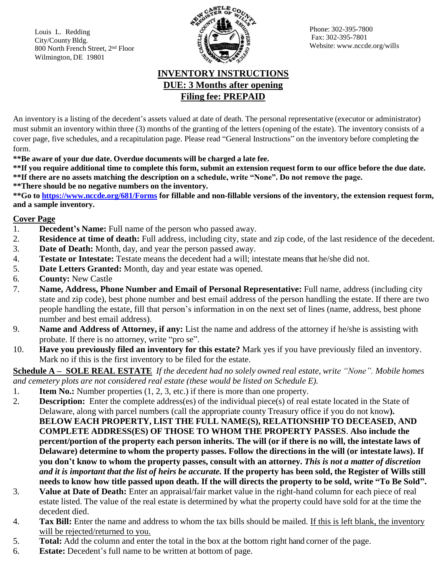Louis L. Redding City/County Bldg. 800 North French Street, 2 nd Floor Wilmington, DE 19801



Phone: 302-395-7800 Fax: 302-395-7801 Website: [www.nccde.org/wills](http://www.nccde.org/wills)

## **INVENTORY INSTRUCTIONS DUE: 3 Months after opening Filing fee: PREPAID**

An inventory is a listing of the decedent's assets valued at date of death. The personal representative (executor or administrator) must submit an inventory within three (3) months of the granting of the letters (opening of the estate). The inventory consists of a cover page, five schedules, and a recapitulation page. Please read "General Instructions" on the inventory before completing the form.

**\*\*Be aware of your due date. Overdue documents will be charged a late fee.**

\*\*If you require additional time to complete this form, submit an extension request form to our office before the due date. **\*\*If there are no assets matching the description on a schedule, write "None". Do not remove the page. \*\*There should be no negative numbers on the inventory.**

**\*\*Go to <https://www.nccde.org/681/Forms> for fillable and non-fillable versions of the inventory, the extension request form, and a sample inventory.**

## **Cover Page**

- 1. **Decedent's Name:** Full name of the person who passed away.
- 2. **Residence at time of death:** Full address, including city, state and zip code, of the last residence of the decedent.
- 3. **Date of Death:** Month, day, and year the person passed away.
- 4. **Testate or Intestate:** Testate means the decedent had a will; intestate means that he/she did not.
- 5. **Date Letters Granted:** Month, day and year estate was opened.
- 6. **County:** New Castle
- 7. **Name, Address, Phone Number and Email of Personal Representative:** Full name, address (including city state and zip code), best phone number and best email address of the person handling the estate. If there are two people handling the estate, fill that person's information in on the next set of lines (name, address, best phone number and best email address).
- 9. **Name and Address of Attorney, if any:** List the name and address of the attorney if he/she is assisting with probate. If there is no attorney, write "pro se".
- 10. **Have you previously filed an inventory for this estate?** Mark yes if you have previously filed an inventory. Mark no if this is the first inventory to be filed for the estate.

**Schedule A – SOLE REAL ESTATE** *If the decedent had no solely owned real estate, write "None". Mobile homes and cemetery plots are not considered real estate (these would be listed on Schedule E).*

- 1. **Item No.:** Number properties (1, 2, 3, etc.) if there is more than one property.
- 2. **Description:** Enter the complete address(es) of the individual piece(s) of real estate located in the State of Delaware, along with parcel numbers (call the appropriate county Treasury office if you do not know**). BELOW EACH PROPERTY, LIST THE FULL NAME(S), RELATIONSHIP TO DECEASED, AND COMPLETE ADDRESS(ES) OF THOSE TO WHOM THE PROPERTY PASSES**. **Also include the** percent/portion of the property each person inherits. The will (or if there is no will, the intestate laws of **Delaware) determine to whom the property passes. Follow the directions in the will (or intestate laws). If you don't know to whom the property passes, consult with an attorney.** *This is not a matter of discretion* and it is important that the list of heirs be accurate. If the property has been sold, the Register of Wills still needs to know how title passed upon death. If the will directs the property to be sold, write "To Be Sold".
- 3. **Value at Date of Death:** Enter an appraisal/fair market value in the right-hand column for each piece of real estate listed. The value of the real estate is determined by what the property could have sold for at the time the decedent died.
- 4. **Tax Bill:** Enter the name and address to whom the tax bills should be mailed. If this is left blank, the inventory will be rejected/returned to you.
- 5. **Total:** Add the column and enter the total in the box at the bottom right hand corner of the page.
- 6. **Estate:** Decedent's full name to be written at bottom of page.